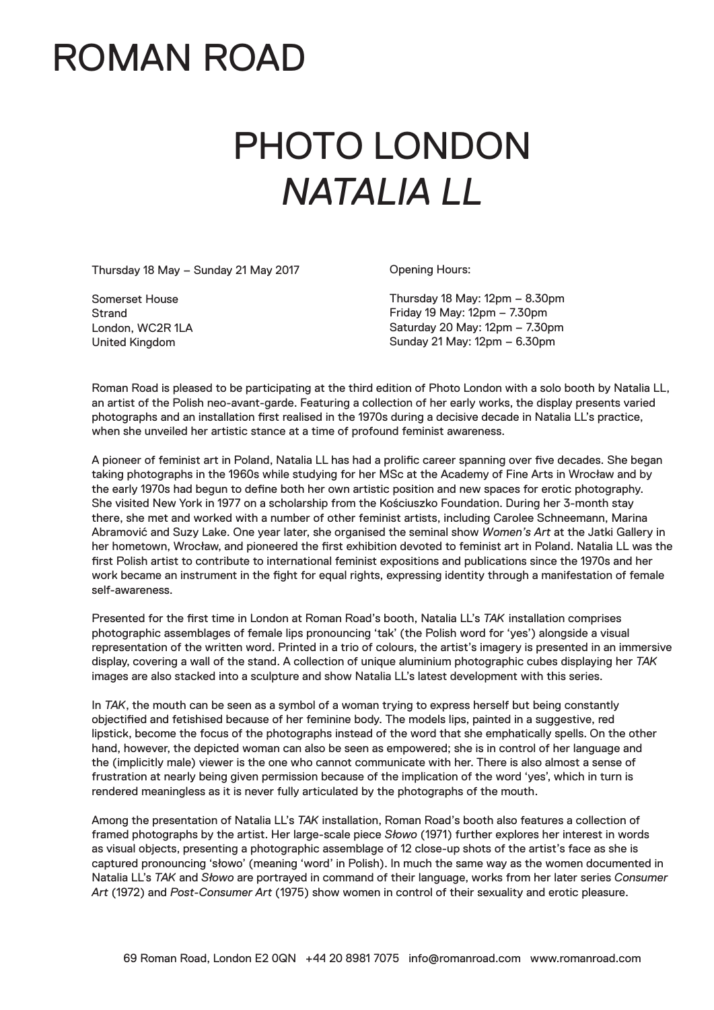### ROMAN ROAD

# PHOTO LONDON *NATALIA LL*

Thursday 18 May – Sunday 21 May 2017

Opening Hours:

Somerset House **Strand** London, WC2R 1LA United Kingdom

Thursday 18 May: 12pm – 8.30pm Friday 19 May: 12pm – 7.30pm Saturday 20 May: 12pm – 7.30pm Sunday 21 May: 12pm – 6.30pm

Roman Road is pleased to be participating at the third edition of Photo London with a solo booth by Natalia LL, an artist of the Polish neo-avant-garde. Featuring a collection of her early works, the display presents varied photographs and an installation first realised in the 1970s during a decisive decade in Natalia LL's practice, when she unveiled her artistic stance at a time of profound feminist awareness.

A pioneer of feminist art in Poland, Natalia LL has had a prolific career spanning over five decades. She began taking photographs in the 1960s while studying for her MSc at the Academy of Fine Arts in Wrocław and by the early 1970s had begun to define both her own artistic position and new spaces for erotic photography. She visited New York in 1977 on a scholarship from the Kościuszko Foundation. During her 3-month stay there, she met and worked with a number of other feminist artists, including Carolee Schneemann, Marina Abramović and Suzy Lake. One year later, she organised the seminal show *Women's Art* at the Jatki Gallery in her hometown, Wrocław, and pioneered the first exhibition devoted to feminist art in Poland. Natalia LL was the first Polish artist to contribute to international feminist expositions and publications since the 1970s and her work became an instrument in the fight for equal rights, expressing identity through a manifestation of female self-awareness.

Presented for the first time in London at Roman Road's booth, Natalia LL's *TAK* installation comprises photographic assemblages of female lips pronouncing 'tak' (the Polish word for 'yes') alongside a visual representation of the written word. Printed in a trio of colours, the artist's imagery is presented in an immersive display, covering a wall of the stand. A collection of unique aluminium photographic cubes displaying her *TAK* images are also stacked into a sculpture and show Natalia LL's latest development with this series.

In *TAK*, the mouth can be seen as a symbol of a woman trying to express herself but being constantly objectified and fetishised because of her feminine body. The models lips, painted in a suggestive, red lipstick, become the focus of the photographs instead of the word that she emphatically spells. On the other hand, however, the depicted woman can also be seen as empowered; she is in control of her language and the (implicitly male) viewer is the one who cannot communicate with her. There is also almost a sense of frustration at nearly being given permission because of the implication of the word 'yes', which in turn is rendered meaningless as it is never fully articulated by the photographs of the mouth.

Among the presentation of Natalia LL's *TAK* installation, Roman Road's booth also features a collection of framed photographs by the artist. Her large-scale piece *Słowo* (1971) further explores her interest in words as visual objects, presenting a photographic assemblage of 12 close-up shots of the artist's face as she is captured pronouncing 'słowo' (meaning 'word' in Polish). In much the same way as the women documented in Natalia LL's *TAK* and *Słowo* are portrayed in command of their language, works from her later series *Consumer Art* (1972) and *Post-Consumer Art* (1975) show women in control of their sexuality and erotic pleasure.